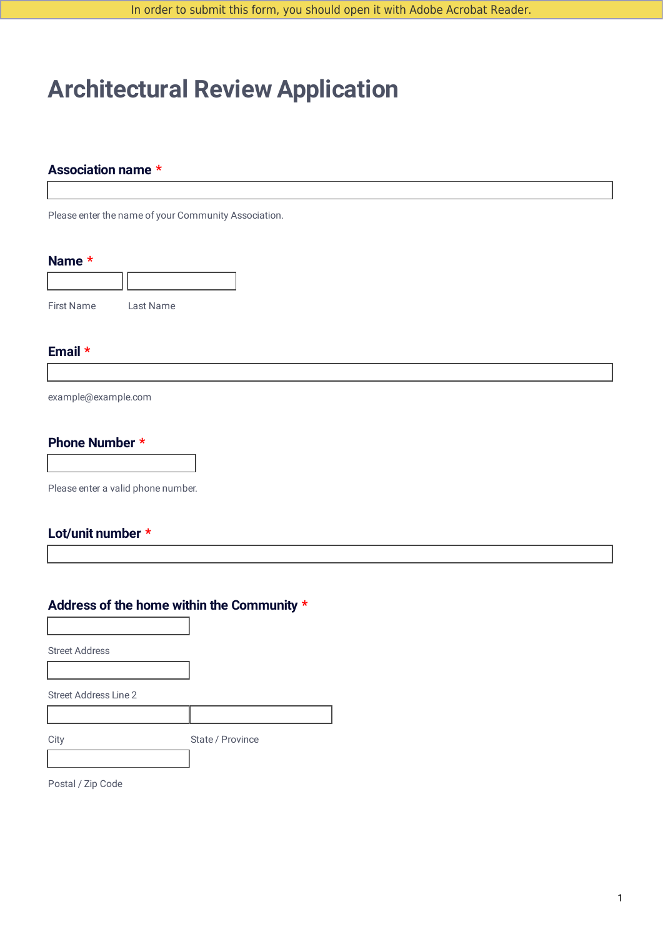In order to submit this form, you should open it with Adobe Acrobat Reader.

# **Architectural Review Application**

### **Association name \***

Please enter the name of your Community Association.

#### **Name \***



### **Email \***

example@example.com

#### **Phone Number \***

Please enter a valid phone number.

## **Lot/unit number \***

# **Address of the home within the Community \***

Street Address

Street Address Line 2

City State / Province

Postal / Zip Code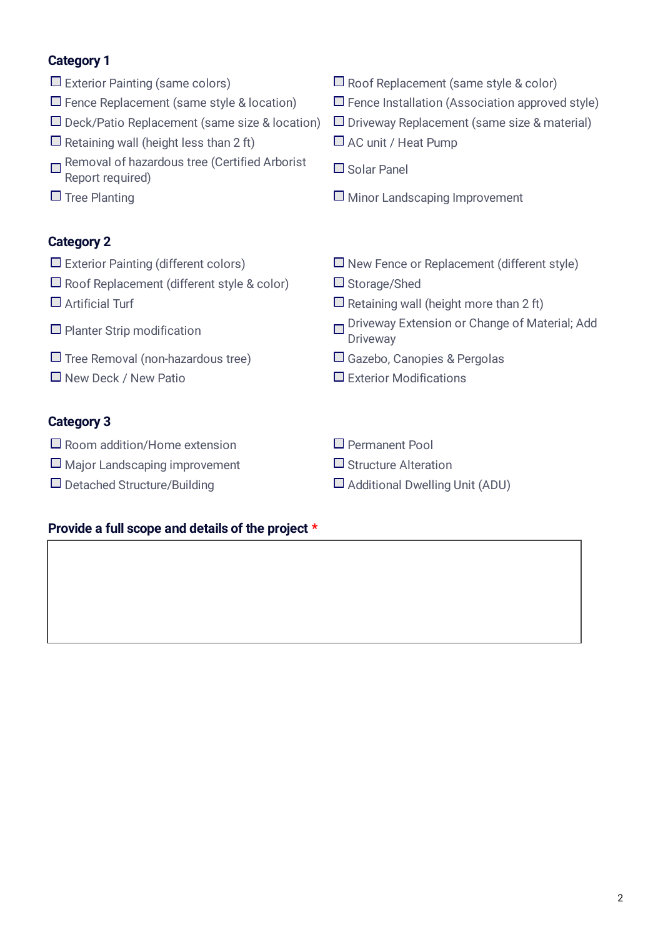# **Category 1**

- 
- 
- $\square$  Deck/Patio Replacement (same size & location)  $\square$  Driveway Replacement (same size & material)
- $\Box$  Retaining wall (height less than 2 ft)  $\Box$  AC unit / Heat Pump
- Removal of hazardous tree (Certified Arborist Report required)
- 

## **Category 2**

- 
- $\Box$  Roof Replacement (different style & color)  $\Box$  Storage/Shed
- 
- $\Box$  Planter Strip modification
- $\Box$  Tree Removal (non-hazardous tree)  $\Box$  Gazebo, Canopies & Pergolas
- $\Box$  New Deck / New Patio  $\Box$  Exterior Modifications

# **Category 3**

- $\Box$  Room addition/Home extension  $\Box$  Permanent Pool
- $\Box$  Major Landscaping improvement  $\Box$  Structure Alteration
- 

## **Provide a full scope and details of the project \***

- $\square$  Exterior Painting (same colors)  $\square$  Roof Replacement (same style & color)
- $\Box$  Fence Replacement (same style & location)  $\Box$  Fence Installation (Association approved style)
	-
	-
	- Solar Panel
- $\square$  Tree Planting  $\square$  Minor Landscaping Improvement
- $\square$  Exterior Painting (different colors)  $\square$  New Fence or Replacement (different style)
	-
- $\Box$  Artificial Turf  $\Box$  Retaining wall (height more than 2 ft)
	- □ Driveway Extension or Change of Material; Add **Driveway**
	-
	-
	-
	-
- $\square$  Detached Structure/Building  $\square$  Additional Dwelling Unit (ADU)